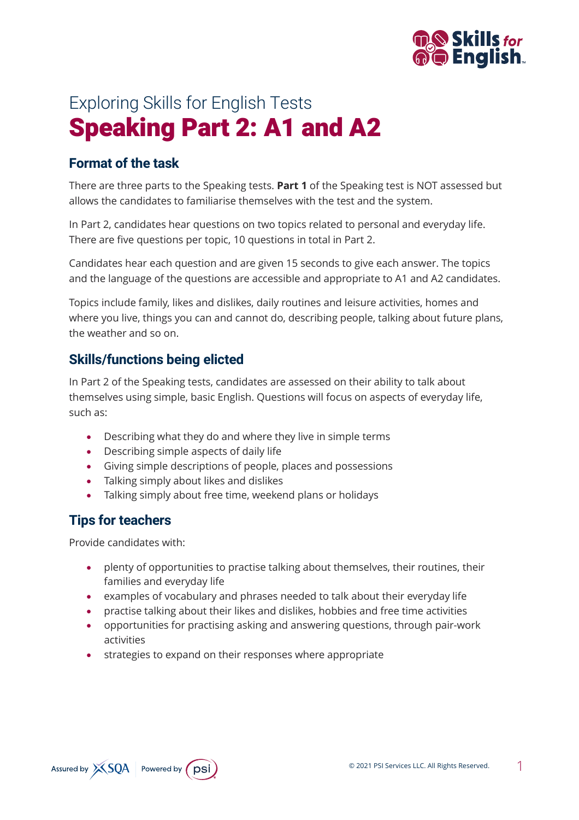

# Exploring Skills for English Tests Speaking Part 2: A1 and A2

## **Format of the task**

There are three parts to the Speaking tests. **Part 1** of the Speaking test is NOT assessed but allows the candidates to familiarise themselves with the test and the system.

In Part 2, candidates hear questions on two topics related to personal and everyday life. There are five questions per topic, 10 questions in total in Part 2.

Candidates hear each question and are given 15 seconds to give each answer. The topics and the language of the questions are accessible and appropriate to A1 and A2 candidates.

Topics include family, likes and dislikes, daily routines and leisure activities, homes and where you live, things you can and cannot do, describing people, talking about future plans, the weather and so on.

#### **Skills/functions being elicted**

In Part 2 of the Speaking tests, candidates are assessed on their ability to talk about themselves using simple, basic English. Questions will focus on aspects of everyday life, such as:

- Describing what they do and where they live in simple terms
- Describing simple aspects of daily life
- Giving simple descriptions of people, places and possessions
- Talking simply about likes and dislikes
- Talking simply about free time, weekend plans or holidays

## **Tips for teachers**

Provide candidates with:

- plenty of opportunities to practise talking about themselves, their routines, their families and everyday life
- examples of vocabulary and phrases needed to talk about their everyday life
- practise talking about their likes and dislikes, hobbies and free time activities
- opportunities for practising asking and answering questions, through pair-work activities
- strategies to expand on their responses where appropriate